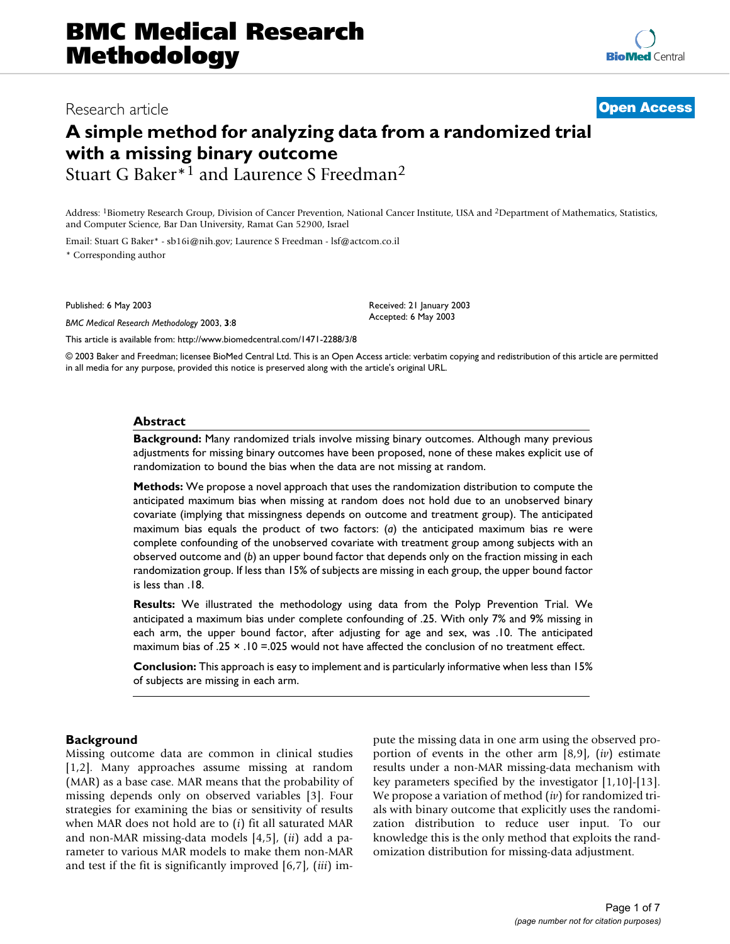# Research article **[Open Access](http://www.biomedcentral.com/info/about/charter/)**

# **A simple method for analyzing data from a randomized trial with a missing binary outcome** Stuart G Baker\*1 and Laurence S Freedman2

Address: 1Biometry Research Group, Division of Cancer Prevention, National Cancer Institute, USA and 2Department of Mathematics, Statistics, and Computer Science, Bar Dan University, Ramat Gan 52900, Israel

Email: Stuart G Baker\* - sb16i@nih.gov; Laurence S Freedman - lsf@actcom.co.il \* Corresponding author

Published: 6 May 2003

*BMC Medical Research Methodology* 2003, **3**:8

Received: 21 January 2003 Accepted: 6 May 2003

[This article is available from: http://www.biomedcentral.com/1471-2288/3/8](http://www.biomedcentral.com/1471-2288/3/8)

© 2003 Baker and Freedman; licensee BioMed Central Ltd. This is an Open Access article: verbatim copying and redistribution of this article are permitted in all media for any purpose, provided this notice is preserved along with the article's original URL.

### **Abstract**

**Background:** Many randomized trials involve missing binary outcomes. Although many previous adjustments for missing binary outcomes have been proposed, none of these makes explicit use of randomization to bound the bias when the data are not missing at random.

**Methods:** We propose a novel approach that uses the randomization distribution to compute the anticipated maximum bias when missing at random does not hold due to an unobserved binary covariate (implying that missingness depends on outcome and treatment group). The anticipated maximum bias equals the product of two factors: (*a*) the anticipated maximum bias re were complete confounding of the unobserved covariate with treatment group among subjects with an observed outcome and (*b*) an upper bound factor that depends only on the fraction missing in each randomization group. If less than 15% of subjects are missing in each group, the upper bound factor is less than .18.

**Results:** We illustrated the methodology using data from the Polyp Prevention Trial. We anticipated a maximum bias under complete confounding of .25. With only 7% and 9% missing in each arm, the upper bound factor, after adjusting for age and sex, was .10. The anticipated maximum bias of .25 × .10 =.025 would not have affected the conclusion of no treatment effect.

**Conclusion:** This approach is easy to implement and is particularly informative when less than 15% of subjects are missing in each arm.

# **Background**

Missing outcome data are common in clinical studies [1,2]. Many approaches assume missing at random (MAR) as a base case. MAR means that the probability of missing depends only on observed variables [3]. Four strategies for examining the bias or sensitivity of results when MAR does not hold are to (*i*) fit all saturated MAR and non-MAR missing-data models [4,5], (*ii*) add a parameter to various MAR models to make them non-MAR and test if the fit is significantly improved [6,7], (*iii*) impute the missing data in one arm using the observed proportion of events in the other arm [8,9], (*iv*) estimate results under a non-MAR missing-data mechanism with key parameters specified by the investigator [1,10]-[13]. We propose a variation of method (*iv*) for randomized trials with binary outcome that explicitly uses the randomization distribution to reduce user input. To our knowledge this is the only method that exploits the randomization distribution for missing-data adjustment.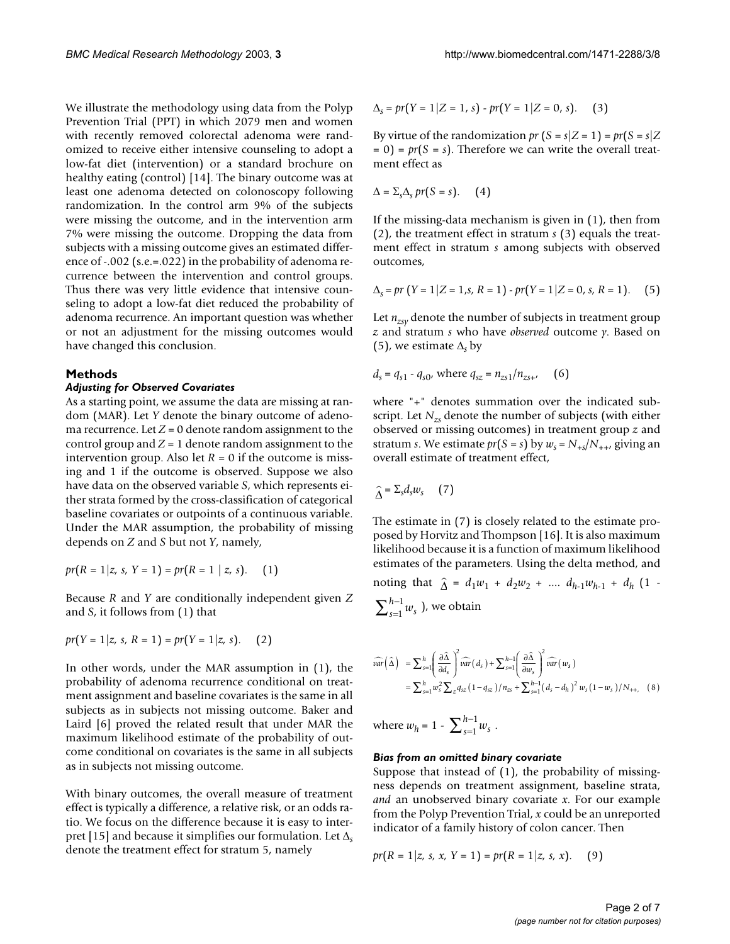We illustrate the methodology using data from the Polyp Prevention Trial (PPT) in which 2079 men and women with recently removed colorectal adenoma were randomized to receive either intensive counseling to adopt a low-fat diet (intervention) or a standard brochure on healthy eating (control) [14]. The binary outcome was at least one adenoma detected on colonoscopy following randomization. In the control arm 9% of the subjects were missing the outcome, and in the intervention arm 7% were missing the outcome. Dropping the data from subjects with a missing outcome gives an estimated difference of -.002 (s.e.=.022) in the probability of adenoma recurrence between the intervention and control groups. Thus there was very little evidence that intensive counseling to adopt a low-fat diet reduced the probability of adenoma recurrence. An important question was whether or not an adjustment for the missing outcomes would have changed this conclusion.

# **Methods**

# *Adjusting for Observed Covariates*

As a starting point, we assume the data are missing at random (MAR). Let *Y* denote the binary outcome of adenoma recurrence. Let  $Z = 0$  denote random assignment to the control group and  $Z = 1$  denote random assignment to the intervention group. Also let  $R = 0$  if the outcome is missing and 1 if the outcome is observed. Suppose we also have data on the observed variable *S*, which represents either strata formed by the cross-classification of categorical baseline covariates or outpoints of a continuous variable. Under the MAR assumption, the probability of missing depends on *Z* and *S* but not *Y*, namely,

$$
pr(R = 1 | z, s, Y = 1) = pr(R = 1 | z, s).
$$
 (1)

Because *R* and *Y* are conditionally independent given *Z* and *S*, it follows from (1) that

$$
pr(Y = 1 | z, s, R = 1) = pr(Y = 1 | z, s). (2)
$$

In other words, under the MAR assumption in (1), the probability of adenoma recurrence conditional on treatment assignment and baseline covariates is the same in all subjects as in subjects not missing outcome. Baker and Laird [6] proved the related result that under MAR the maximum likelihood estimate of the probability of outcome conditional on covariates is the same in all subjects as in subjects not missing outcome.

With binary outcomes, the overall measure of treatment effect is typically a difference, a relative risk, or an odds ratio. We focus on the difference because it is easy to interpret [15] and because it simplifies our formulation. Let ∆*<sup>s</sup>* denote the treatment effect for stratum 5, namely

$$
\Delta_{s} = pr(Y = 1 | Z = 1, s) - pr(Y = 1 | Z = 0, s). \tag{3}
$$

By virtue of the randomization  $pr(S = s | Z = 1) = pr(S = s | Z$  $= 0$ ) =  $pr(S = s)$ . Therefore we can write the overall treatment effect as

$$
\Delta = \sum_{s} \Delta_{s} \, pr(S = s). \qquad (4)
$$

If the missing-data mechanism is given in (1), then from (2), the treatment effect in stratum *s* (3) equals the treatment effect in stratum *s* among subjects with observed outcomes,

$$
\Delta_{s} = pr(Y = 1 | Z = 1, s, R = 1) - pr(Y = 1 | Z = 0, s, R = 1).
$$
 (5)

Let  $n_{zsy}$  denote the number of subjects in treatment group *z* and stratum *s* who have *observed* outcome *y*. Based on (5), we estimate ∆*s* by

$$
d_s = q_{s1} - q_{s0}, \text{ where } q_{sz} = n_{zs1}/n_{zs} \tag{6}
$$

where "+" denotes summation over the indicated subscript. Let *Nzs* denote the number of subjects (with either observed or missing outcomes) in treatment group *z* and stratum *s*. We estimate  $pr(S = s)$  by  $w_s = N_{+s}/N_{++}$ , giving an overall estimate of treatment effect,

$$
\widehat{\Delta} = \Sigma_s d_s w_s \qquad (7)
$$

The estimate in (7) is closely related to the estimate proposed by Horvitz and Thompson [16]. It is also maximum likelihood because it is a function of maximum likelihood estimates of the parameters. Using the delta method, and

noting that  $\hat{\Delta} = d_1 w_1 + d_2 w_2 + \dots d_{h-1} w_{h-1} + d_h (1 _{s=1}^{h-1} w_s$  ), we obtain =  $\sum_{s=1}^{h-1}$ 

$$
\widehat{var}(\widehat{\Delta}) = \sum_{s=1}^{h} \left( \frac{\partial \widehat{\Delta}}{\partial d_s} \right)^2 \widehat{var}(d_s) + \sum_{s=1}^{h-1} \left( \frac{\partial \widehat{\Delta}}{\partial w_s} \right)^2 \widehat{var}(w_s)
$$
  
= 
$$
\sum_{s=1}^{h} w_s^2 \sum_{z} q_{sz} (1 - q_{sz}) / n_{zs} + \sum_{s=1}^{h-1} (d_s - d_h)^2 w_s (1 - w_s) / N_{++,}
$$
 (8)

where  $w_h = 1 - \sum_{s=1}^{h-1} w_s$ . =  $\sum_{s=1}^{h-1}$ 

#### *Bias from an omitted binary covariate*

Suppose that instead of (1), the probability of missingness depends on treatment assignment, baseline strata, *and* an unobserved binary covariate *x*. For our example from the Polyp Prevention Trial, *x* could be an unreported indicator of a family history of colon cancer. Then

$$
pr(R = 1 | z, s, x, Y = 1) = pr(R = 1 | z, s, x).
$$
 (9)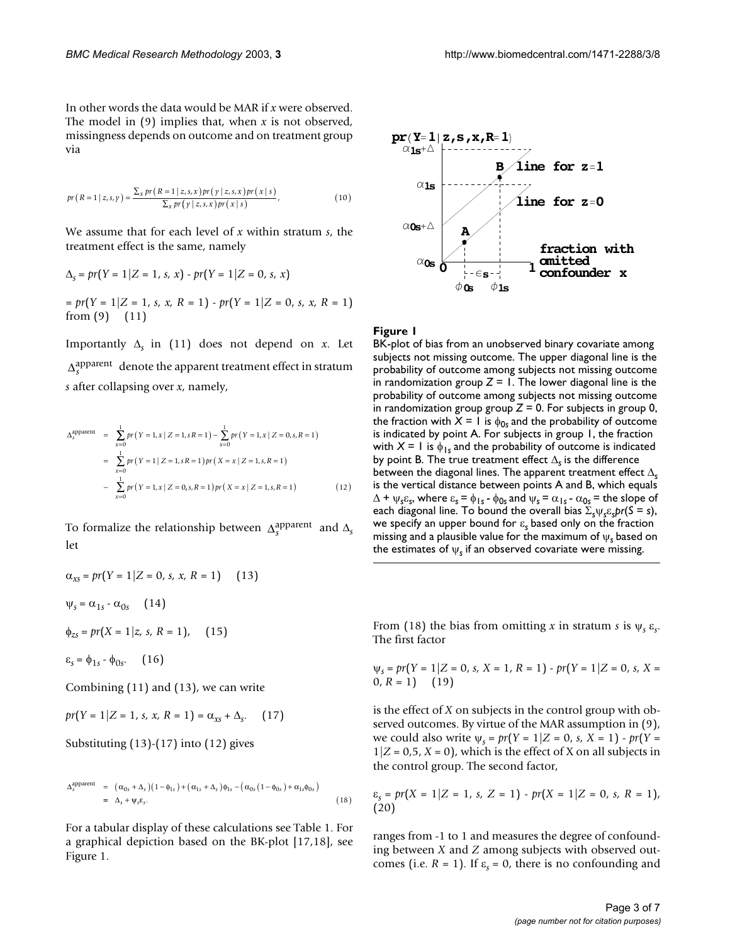In other words the data would be MAR if *x* were observed. The model in (9) implies that, when *x* is not observed, missingness depends on outcome and on treatment group via

$$
pr(R=1|z,s,y) = \frac{\sum_{x} pr(R=1|z,s,x) pr(y|z,s,x) pr(x|s)}{\sum_{x} pr(y|z,s,x) pr(x|s)},
$$
\n(10)

We assume that for each level of *x* within stratum *s*, the treatment effect is the same, namely

$$
\Delta_{S} = pr(Y = 1 | Z = 1, s, x) - pr(Y = 1 | Z = 0, s, x)
$$
  
=  $pr(Y = 1 | Z = 1, s, x, R = 1) - pr(Y = 1 | Z = 0, s, x, R = 1)$   
from (9) (11)

Importantly  $\Delta$ <sub>s</sub> in (11) does not depend on *x*. Let  $\Delta$ <sup>apparent</sup> denote the apparent treatment effect in stratum *s* after collapsing over *x*, namely,

$$
\Delta_{s}^{\text{apparent}} = \sum_{x=0}^{1} pr(Y=1, x | Z=1, sR=1) - \sum_{x=0}^{1} pr(Y=1, x | Z=0, s, R=1)
$$
  
= 
$$
\sum_{x=0}^{1} pr(Y=1 | Z=1, sR=1) pr(X=x | Z=1, s, R=1)
$$
  
- 
$$
\sum_{x=0}^{1} pr(Y=1, x | Z=0, s, R=1) pr(X=x | Z=1, s, R=1)
$$
 (12)

To formalize the relationship between  $\Delta_s^{\text{apparent}}$  and  $\Delta_s$ let

$$
\alpha_{xs} = pr(Y = 1 | Z = 0, s, x, R = 1)
$$
 (13)  

$$
\Psi_s = \alpha_{1s} - \alpha_{0s}
$$
 (14)  

$$
\phi_{zs} = pr(X = 1 | z, s, R = 1),
$$
 (15)

 $\varepsilon_s = \phi_{1s} - \phi_{0s}$ . (16)

Combining (11) and (13), we can write

$$
pr(Y = 1 | Z = 1, s, x, R = 1) = \alpha_{xs} + \Delta_s. \quad (17)
$$

Substituting (13)-(17) into (12) gives

$$
\Delta_{S}^{\text{apparent}} = (\alpha_{0s} + \Delta_{s})(1 - \phi_{1s}) + (\alpha_{1s} + \Delta_{s})\phi_{1s} - (\alpha_{0s}(1 - \phi_{0s}) + \alpha_{1s}\phi_{0s})
$$
\n
$$
= \Delta_{s} + \psi_{s}\varepsilon_{s}.
$$
\n(18)

For a tabular display of these calculations see Table [1](#page-3-0). For a graphical depiction based on the BK-plot [17,18], see Figure 1.



### **Figure 1**

BK-plot of bias from an unobserved binary covariate among subjects not missing outcome. The upper diagonal line is the probability of outcome among subjects not missing outcome in randomization group  $Z = 1$ . The lower diagonal line is the probability of outcome among subjects not missing outcome in randomization group group  $Z = 0$ . For subjects in group 0, the fraction with  $X = I$  is  $\phi_{0s}$  and the probability of outcome is indicated by point A. For subjects in group 1, the fraction with  $X = I$  is  $\phi_{1s}$  and the probability of outcome is indicated by point B. The true treatment effect ∆*s* is the difference between the diagonal lines. The apparent treatment effect ∆*<sup>s</sup>* is the vertical distance between points A and B, which equals  $\Delta$  +  $\psi_s \varepsilon_s$ , where  $\varepsilon_s = \phi_{1s} - \phi_{0s}$  and  $\psi_s = \alpha_{1s} - \alpha_{0s}$  = the slope of each diagonal line. To bound the overall bias  $\Sigma_s \psi_s \varepsilon_s pr(S = s)$ , we specify an upper bound for ε*s* based only on the fraction missing and a plausible value for the maximum of ψ*s* based on the estimates of  $\psi_s$  if an observed covariate were missing.

From (18) the bias from omitting *x* in stratum *s* is  $\psi_s \varepsilon_s$ . The first factor

$$
\psi_s = pr(Y = 1 | Z = 0, s, X = 1, R = 1) - pr(Y = 1 | Z = 0, s, X = 0, R = 1)
$$
 (19)

is the effect of *X* on subjects in the control group with observed outcomes. By virtue of the MAR assumption in (9), we could also write ψ*s* = *pr*(*Y* = 1|*Z* = 0, *s, X* = 1) - *pr*(*Y* =  $1|Z = 0.5, X = 0$ , which is the effect of X on all subjects in the control group. The second factor,

$$
\varepsilon_{S} = pr(X = 1 | Z = 1, \, s, \, Z = 1) - pr(X = 1 | Z = 0, \, s, \, R = 1),
$$
\n(20)

ranges from -1 to 1 and measures the degree of confounding between *X* and *Z* among subjects with observed outcomes (i.e.  $R = 1$ ). If  $\varepsilon_s = 0$ , there is no confounding and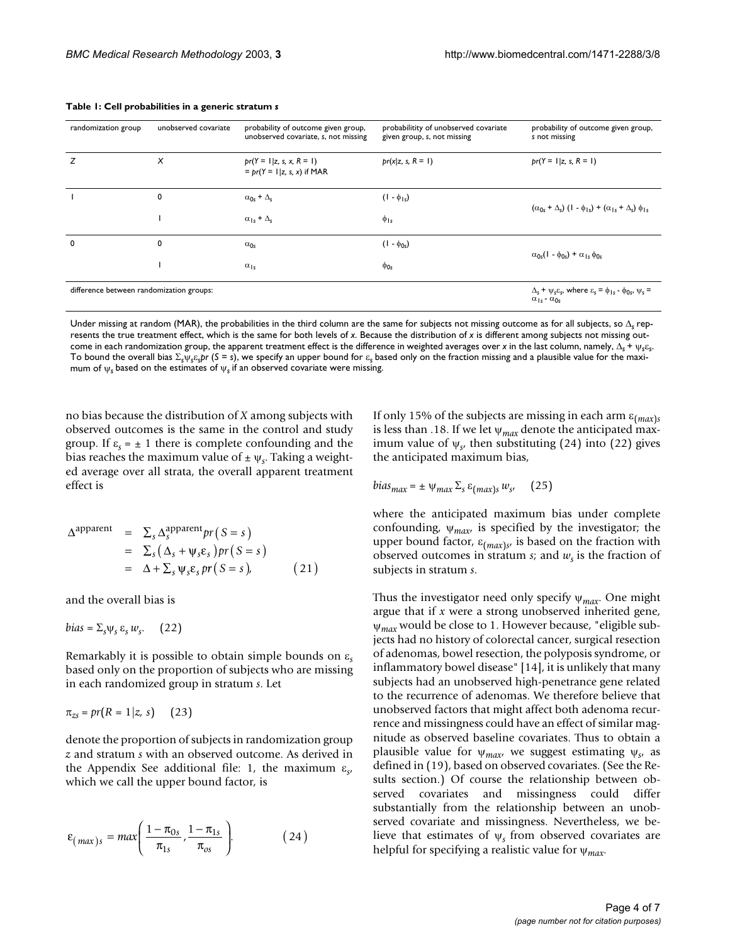| randomization group                      | unobserved covariate                                                                                                                           | probability of outcome given group,<br>unobserved covariate, s, not missing | probabilitity of unobserved covariate<br>given group, s, not missing | probability of outcome given group,<br>s not missing                          |  |
|------------------------------------------|------------------------------------------------------------------------------------------------------------------------------------------------|-----------------------------------------------------------------------------|----------------------------------------------------------------------|-------------------------------------------------------------------------------|--|
| z                                        | X                                                                                                                                              | $pr(Y = 1   z, s, x, R = 1)$<br>$= pr(Y = 1   z, s, x)$ if MAR              | $pr(x z, s, R = 1)$                                                  | $pr(Y = 1   z, s, R = 1)$                                                     |  |
|                                          | 0                                                                                                                                              | $\alpha_{0s}$ + $\Delta_{s}$                                                | $(1 - \phi_{1s})$                                                    |                                                                               |  |
|                                          |                                                                                                                                                | $\alpha_{1s}$ + $\Delta_s$                                                  | $\phi_{1s}$                                                          | $(\alpha_{0s} + \Delta_s)(1 - \phi_{1s}) + (\alpha_{1s} + \Delta_s)\phi_{1s}$ |  |
| $\mathbf 0$                              | 0                                                                                                                                              | $\alpha_{0s}$                                                               | $(1 - \phi_{0s})$                                                    | $\alpha_{0s}(1 - \phi_{0s}) + \alpha_{1s} \phi_{0s}$                          |  |
|                                          |                                                                                                                                                | $\alpha_{1s}$                                                               | $\phi_{0s}$                                                          |                                                                               |  |
| difference between randomization groups: | $\Delta_{s}$ + $\psi_{s}\varepsilon_{s}$ , where $\varepsilon_{s}$ = $\phi_{1s}$ - $\phi_{0s}$ , $\psi_{s}$ =<br>$\alpha_{1s}$ - $\alpha_{0s}$ |                                                                             |                                                                      |                                                                               |  |

#### <span id="page-3-0"></span>**Table 1: Cell probabilities in a generic stratum** *s*

Under missing at random (MAR), the probabilities in the third column are the same for subjects not missing outcome as for all subjects, so ∆*s* represents the true treatment effect, which is the same for both levels of *x*. Because the distribution of *x* is different among subjects not missing outcome in each randomization group, the apparent treatment effect is the difference in weighted averages over *x* in the last column, namely, ∆*s* + ψ*s*ε*s*. To bound the overall bias Σ*s*ψ*s*ε*spr* (*S* = *s*), we specify an upper bound for ε*s* based only on the fraction missing and a plausible value for the maximum of ψ*s* based on the estimates of ψ*s* if an observed covariate were missing.

no bias because the distribution of *X* among subjects with observed outcomes is the same in the control and study group. If  $\varepsilon_s = \pm 1$  there is complete confounding and the bias reaches the maximum value of  $\pm \psi_s$ . Taking a weighted average over all strata, the overall apparent treatment effect is

$$
\Delta^{\text{apparent}} = \sum_{s} \Delta_{s}^{\text{apparent}} pr(S = s)
$$
  
= 
$$
\sum_{s} (\Delta_{s} + \psi_{s} \varepsilon_{s}) pr(S = s)
$$
  
= 
$$
\Delta + \sum_{s} \psi_{s} \varepsilon_{s} pr(S = s),
$$
 (21)

and the overall bias is

$$
bias = \Sigma_s \psi_s \, \varepsilon_s \, w_s. \quad (22)
$$

Remarkably it is possible to obtain simple bounds on ε*<sup>s</sup>* based only on the proportion of subjects who are missing in each randomized group in stratum *s*. Let

$$
\pi_{zs} = pr(R = 1|z, s) \qquad (23)
$$

denote the proportion of subjects in randomization group *z* and stratum *s* with an observed outcome. As derived in the Appendix See additional file: 1, the maximum ε*s*, which we call the upper bound factor, is

$$
\varepsilon_{(\max)s} = \max\left(\frac{1-\pi_{0s}}{\pi_{1s}}, \frac{1-\pi_{1s}}{\pi_{0s}}\right). \tag{24}
$$

If only 15% of the subjects are missing in each arm ε(*max*)*<sup>s</sup>* is less than .18. If we let ψ*max* denote the anticipated maximum value of  $\psi_{s}$ , then substituting (24) into (22) gives the anticipated maximum bias,

$$
bias_{max} = \pm \psi_{max} \Sigma_s \varepsilon_{(max)s} w_{s'} \quad (25)
$$

where the anticipated maximum bias under complete confounding,  $\psi_{max}$  is specified by the investigator; the upper bound factor, ε(*max*)*s*, is based on the fraction with observed outcomes in stratum  $s$ ; and  $w_s$  is the fraction of subjects in stratum *s*.

Thus the investigator need only specify ψ*max*. One might argue that if *x* were a strong unobserved inherited gene, ψ*max* would be close to 1. However because, "eligible subjects had no history of colorectal cancer, surgical resection of adenomas, bowel resection, the polyposis syndrome, or inflammatory bowel disease" [14], it is unlikely that many subjects had an unobserved high-penetrance gene related to the recurrence of adenomas. We therefore believe that unobserved factors that might affect both adenoma recurrence and missingness could have an effect of similar magnitude as observed baseline covariates. Thus to obtain a plausible value for ψ*max*, we suggest estimating ψ*s*, as defined in (19), based on observed covariates. (See the Results section.) Of course the relationship between observed covariates and missingness could differ substantially from the relationship between an unobserved covariate and missingness. Nevertheless, we believe that estimates of ψ*s* from observed covariates are helpful for specifying a realistic value for ψ*max*.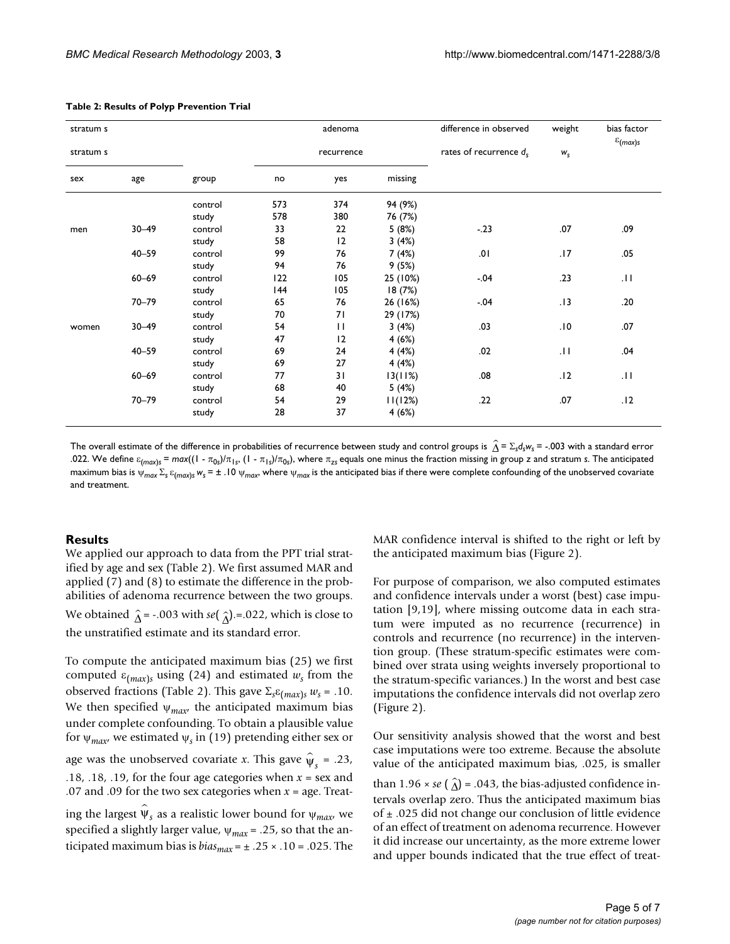| stratum s |           |         | adenoma    |              |          | difference in observed    | weight  | bias factor<br>$\varepsilon$ <sub>(max)s</sub> |
|-----------|-----------|---------|------------|--------------|----------|---------------------------|---------|------------------------------------------------|
| stratum s |           |         | recurrence |              |          | rates of recurrence $d_s$ | $W_{S}$ |                                                |
| sex       | age       | group   | no         | yes          | missing  |                           |         |                                                |
|           |           | control | 573        | 374          | 94 (9%)  |                           |         |                                                |
|           |           | study   | 578        | 380          | 76 (7%)  |                           |         |                                                |
| men       | $30 - 49$ | control | 33         | 22           | 5 (8%)   | $-.23$                    | .07     | .09                                            |
|           |           | study   | 58         | 12           | 3(4%)    |                           |         |                                                |
|           | $40 - 59$ | control | 99         | 76           | 7(4%)    | .01                       | .17     | .05                                            |
|           |           | study   | 94         | 76           | 9(5%)    |                           |         |                                                |
|           | $60 - 69$ | control | 122        | 105          | 25 (10%) | $-0.04$                   | .23     | .11                                            |
|           |           | study   | 144        | 105          | 18(7%)   |                           |         |                                                |
|           | $70 - 79$ | control | 65         | 76           | 26 (16%) | $-.04$                    | .13     | .20                                            |
|           |           | study   | 70         | 71           | 29 (17%) |                           |         |                                                |
| women     | $30 - 49$ | control | 54         | $\mathbf{H}$ | 3(4%)    | .03                       | .10     | .07                                            |
|           |           | study   | 47         | 12           | 4(6%)    |                           |         |                                                |
|           | $40 - 59$ | control | 69         | 24           | 4(4%)    | .02                       | .11     | .04                                            |
|           |           | study   | 69         | 27           | 4(4%)    |                           |         |                                                |
|           | $60 - 69$ | control | 77         | 31           | 13(11%)  | .08                       | .12     | .11                                            |
|           |           | study   | 68         | 40           | 5(4%)    |                           |         |                                                |
|           | $70 - 79$ | control | 54         | 29           | 11(12%)  | .22                       | .07     | .12                                            |
|           |           | study   | 28         | 37           | 4(6%)    |                           |         |                                                |

#### <span id="page-4-0"></span>**Table 2: Results of Polyp Prevention Trial**

The overall estimate of the difference in probabilities of recurrence between study and control groups is  $\hat{\Delta}$  =  $\Sigma_{\rm s}d_{\rm s}$ w<sub>s</sub> = -.003 with a standard error .022. We define  $\varepsilon_{(max)}$ *s* =  $max((1 - \pi_{0s})/\pi_{1s}, (1 - \pi_{1s})/\pi_{0s})$ , where  $\pi_{zs}$  equals one minus the fraction missing in group *z* and stratum *s*. The anticipated maximum bias is ψ<sub>max</sub> Σ<sub>s</sub> ε<sub>(max)</sub>s w<sub>s</sub> = ± .10 ψ<sub>max</sub>, where ψ<sub>max</sub> is the anticipated bias if there were complete confounding of the unobserved covariate and treatment.

### **Results**

We applied our approach to data from the PPT trial stratified by age and sex (Table [2](#page-4-0)). We first assumed MAR and applied (7) and (8) to estimate the difference in the probabilities of adenoma recurrence between the two groups. We obtained  $\hat{\Delta}$  = -.003 with *se*(  $\hat{\Delta}$ ).=.022, which is close to

the unstratified estimate and its standard error.

To compute the anticipated maximum bias (25) we first computed  $\varepsilon_{(max)s}$  using (24) and estimated  $w_s$  from the observed fractions (Table [2\)](#page-4-0). This gave  $\Sigma_s \varepsilon_{(max)s} w_s = .10$ . We then specified  $\psi_{max}$ , the anticipated maximum bias under complete confounding. To obtain a plausible value for  $\psi_{max}$ , we estimated  $\psi_s$  in (19) pretending either sex or age was the unobserved covariate *x*. This gave  $\hat{\psi}_s = .23$ , .18, .18, .19, for the four age categories when *x* = sex and .07 and .09 for the two sex categories when *x* = age. Treating the largest  $\hat{\psi}_s$  as a realistic lower bound for  $\psi_{max'}$  we specified a slightly larger value, ψ*max* = .25, so that the anticipated maximum bias is  $bias_{max} = \pm .25 \times .10 = .025$ . The

MAR confidence interval is shifted to the right or left by the anticipated maximum bias (Figure [2\)](#page-5-0).

For purpose of comparison, we also computed estimates and confidence intervals under a worst (best) case imputation [9,19], where missing outcome data in each stratum were imputed as no recurrence (recurrence) in controls and recurrence (no recurrence) in the intervention group. (These stratum-specific estimates were combined over strata using weights inversely proportional to the stratum-specific variances.) In the worst and best case imputations the confidence intervals did not overlap zero (Figure [2\)](#page-5-0).

Our sensitivity analysis showed that the worst and best case imputations were too extreme. Because the absolute value of the anticipated maximum bias, .025, is smaller than  $1.96 \times se$  ( $\hat{\Delta}$ ) = .043, the bias-adjusted confidence intervals overlap zero. Thus the anticipated maximum bias of ± .025 did not change our conclusion of little evidence of an effect of treatment on adenoma recurrence. However it did increase our uncertainty, as the more extreme lower and upper bounds indicated that the true effect of treat-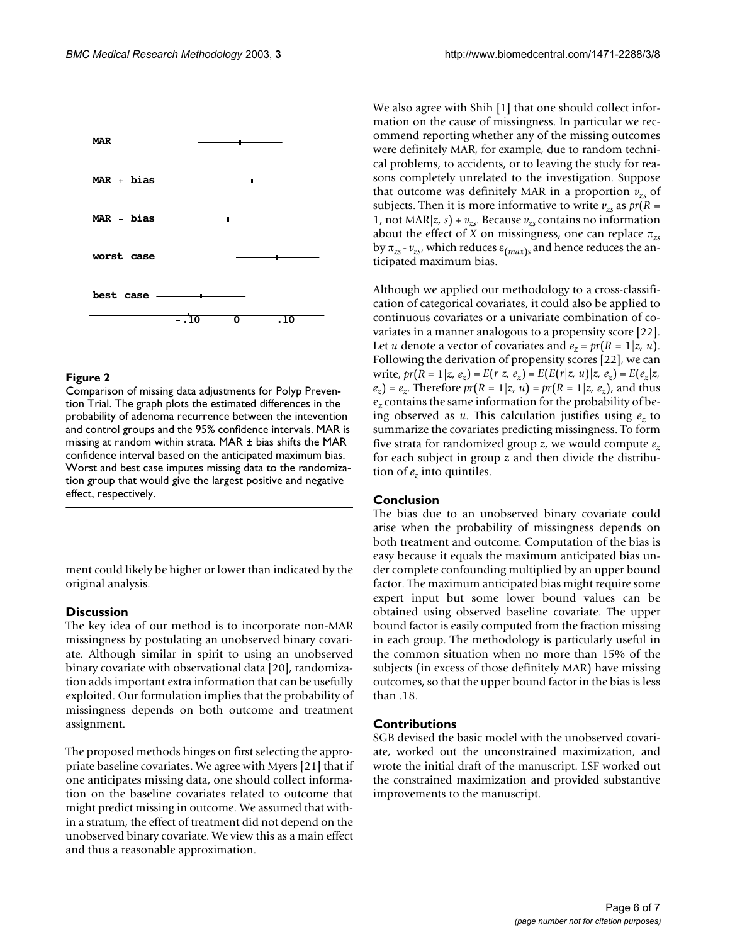<span id="page-5-0"></span>

# **Figure 2**

Comparison of missing data adjustments for Polyp Prevention Trial. The graph plots the estimated differences in the probability of adenoma recurrence between the intevention and control groups and the 95% confidence intervals. MAR is missing at random within strata. MAR ± bias shifts the MAR confidence interval based on the anticipated maximum bias. Worst and best case imputes missing data to the randomization group that would give the largest positive and negative effect, respectively.

ment could likely be higher or lower than indicated by the original analysis.

# **Discussion**

The key idea of our method is to incorporate non-MAR missingness by postulating an unobserved binary covariate. Although similar in spirit to using an unobserved binary covariate with observational data [20], randomization adds important extra information that can be usefully exploited. Our formulation implies that the probability of missingness depends on both outcome and treatment assignment.

The proposed methods hinges on first selecting the appropriate baseline covariates. We agree with Myers [21] that if one anticipates missing data, one should collect information on the baseline covariates related to outcome that might predict missing in outcome. We assumed that within a stratum, the effect of treatment did not depend on the unobserved binary covariate. We view this as a main effect and thus a reasonable approximation.

We also agree with Shih [1] that one should collect information on the cause of missingness. In particular we recommend reporting whether any of the missing outcomes were definitely MAR, for example, due to random technical problems, to accidents, or to leaving the study for reasons completely unrelated to the investigation. Suppose that outcome was definitely MAR in a proportion  $v_{z}$  of subjects. Then it is more informative to write  $v_{zs}$  as  $pr(R =$ 1, not MAR $|z, s| + v_{zs}$ . Because  $v_{zs}$  contains no information about the effect of *X* on missingness, one can replace π*zs* by  $\pi_{zs}$  -  $v_{zs}$ , which reduces  $\varepsilon_{(max)s}$  and hence reduces the anticipated maximum bias.

Although we applied our methodology to a cross-classification of categorical covariates, it could also be applied to continuous covariates or a univariate combination of covariates in a manner analogous to a propensity score [22]. Let *u* denote a vector of covariates and  $e_z = pr(R = 1 | z, u)$ . Following the derivation of propensity scores [22], we can write,  $pr(R = 1 | z, e_z) = E(r | z, e_z) = E(E(r | z, u) | z, e_z) = E(e_z | z,$  $e_z$ ) =  $e_z$ . Therefore  $pr(R = 1|z, u) = pr(R = 1|z, e_z)$ , and thus e*z* contains the same information for the probability of being observed as *u*. This calculation justifies using *ez* to summarize the covariates predicting missingness. To form five strata for randomized group *z*, we would compute *ez* for each subject in group *z* and then divide the distribution of  $e_z$  into quintiles.

# **Conclusion**

The bias due to an unobserved binary covariate could arise when the probability of missingness depends on both treatment and outcome. Computation of the bias is easy because it equals the maximum anticipated bias under complete confounding multiplied by an upper bound factor. The maximum anticipated bias might require some expert input but some lower bound values can be obtained using observed baseline covariate. The upper bound factor is easily computed from the fraction missing in each group. The methodology is particularly useful in the common situation when no more than 15% of the subjects (in excess of those definitely MAR) have missing outcomes, so that the upper bound factor in the bias is less than .18.

# **Contributions**

SGB devised the basic model with the unobserved covariate, worked out the unconstrained maximization, and wrote the initial draft of the manuscript. LSF worked out the constrained maximization and provided substantive improvements to the manuscript.